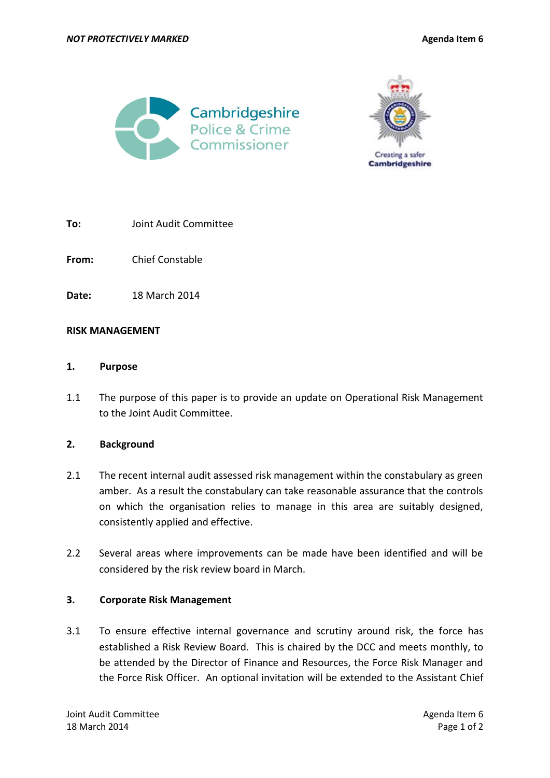



**To:** Joint Audit Committee

**From:** Chief Constable

**Date:** 18 March 2014

#### **RISK MANAGEMENT**

#### **1. Purpose**

1.1 The purpose of this paper is to provide an update on Operational Risk Management to the Joint Audit Committee.

## **2. Background**

- 2.1 The recent internal audit assessed risk management within the constabulary as green amber. As a result the constabulary can take reasonable assurance that the controls on which the organisation relies to manage in this area are suitably designed, consistently applied and effective.
- 2.2 Several areas where improvements can be made have been identified and will be considered by the risk review board in March.

## **3. Corporate Risk Management**

3.1 To ensure effective internal governance and scrutiny around risk, the force has established a Risk Review Board. This is chaired by the DCC and meets monthly, to be attended by the Director of Finance and Resources, the Force Risk Manager and the Force Risk Officer. An optional invitation will be extended to the Assistant Chief